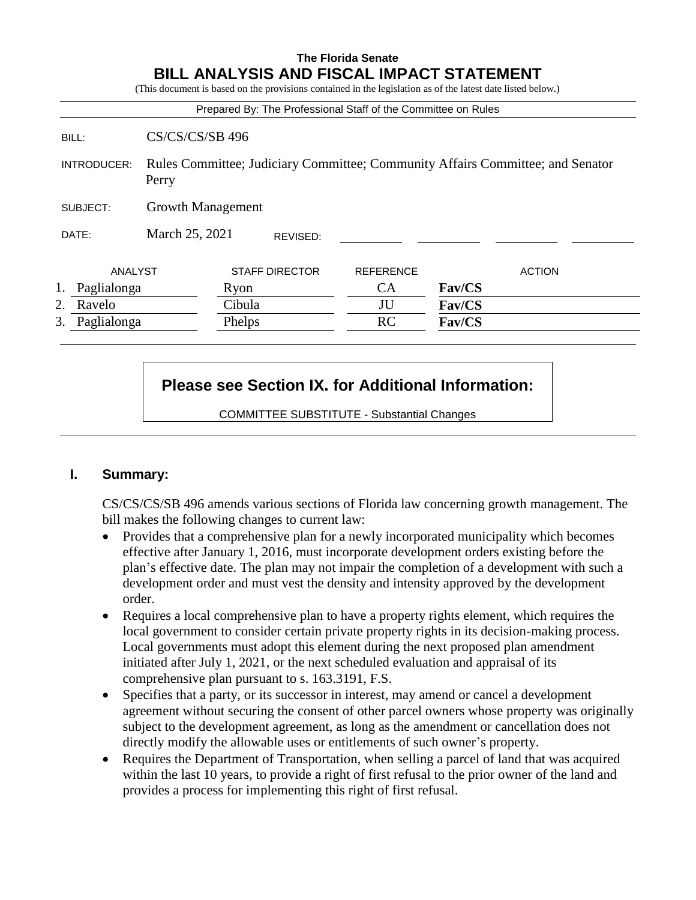### **The Florida Senate BILL ANALYSIS AND FISCAL IMPACT STATEMENT**

(This document is based on the provisions contained in the legislation as of the latest date listed below.)

|                   |                                                                                         | Prepared By: The Professional Staff of the Committee on Rules |                  |               |
|-------------------|-----------------------------------------------------------------------------------------|---------------------------------------------------------------|------------------|---------------|
| BILL:             | $CS/CS/CS/SB$ 496                                                                       |                                                               |                  |               |
| INTRODUCER:       | Rules Committee; Judiciary Committee; Community Affairs Committee; and Senator<br>Perry |                                                               |                  |               |
| SUBJECT:          | Growth Management                                                                       |                                                               |                  |               |
| DATE:             | March 25, 2021                                                                          | REVISED:                                                      |                  |               |
| ANALYST           |                                                                                         | <b>STAFF DIRECTOR</b>                                         | <b>REFERENCE</b> | <b>ACTION</b> |
| Paglialonga       |                                                                                         | Ryon                                                          | <b>CA</b>        | Fav/CS        |
| 2.<br>Ravelo      |                                                                                         | Cibula                                                        | JU               | Fav/CS        |
| 3.<br>Paglialonga |                                                                                         | Phelps                                                        | RC               | Fav/CS        |

# **Please see Section IX. for Additional Information:**

COMMITTEE SUBSTITUTE - Substantial Changes

### **I. Summary:**

CS/CS/CS/SB 496 amends various sections of Florida law concerning growth management. The bill makes the following changes to current law:

- Provides that a comprehensive plan for a newly incorporated municipality which becomes effective after January 1, 2016, must incorporate development orders existing before the plan's effective date. The plan may not impair the completion of a development with such a development order and must vest the density and intensity approved by the development order.
- Requires a local comprehensive plan to have a property rights element, which requires the local government to consider certain private property rights in its decision-making process. Local governments must adopt this element during the next proposed plan amendment initiated after July 1, 2021, or the next scheduled evaluation and appraisal of its comprehensive plan pursuant to s. 163.3191, F.S.
- Specifies that a party, or its successor in interest, may amend or cancel a development agreement without securing the consent of other parcel owners whose property was originally subject to the development agreement, as long as the amendment or cancellation does not directly modify the allowable uses or entitlements of such owner's property.
- Requires the Department of Transportation, when selling a parcel of land that was acquired within the last 10 years, to provide a right of first refusal to the prior owner of the land and provides a process for implementing this right of first refusal.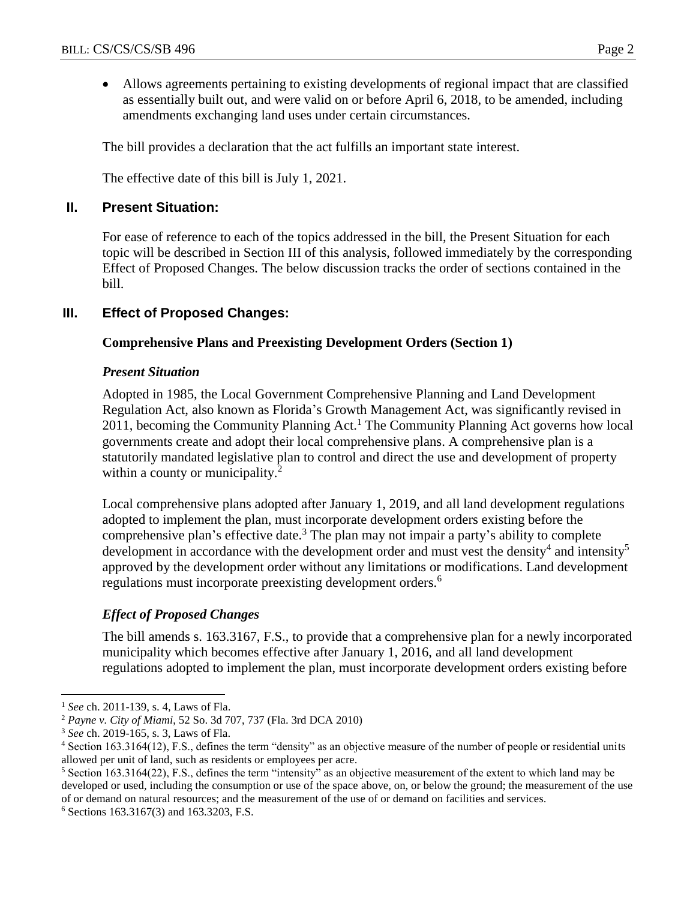Allows agreements pertaining to existing developments of regional impact that are classified as essentially built out, and were valid on or before April 6, 2018, to be amended, including amendments exchanging land uses under certain circumstances.

The bill provides a declaration that the act fulfills an important state interest.

The effective date of this bill is July 1, 2021.

### **II. Present Situation:**

For ease of reference to each of the topics addressed in the bill, the Present Situation for each topic will be described in Section III of this analysis, followed immediately by the corresponding Effect of Proposed Changes. The below discussion tracks the order of sections contained in the bill.

# **III. Effect of Proposed Changes:**

### **Comprehensive Plans and Preexisting Development Orders (Section 1)**

### *Present Situation*

Adopted in 1985, the Local Government Comprehensive Planning and Land Development Regulation Act, also known as Florida's Growth Management Act, was significantly revised in 2011, becoming the Community Planning Act.<sup>1</sup> The Community Planning Act governs how local governments create and adopt their local comprehensive plans. A comprehensive plan is a statutorily mandated legislative plan to control and direct the use and development of property within a county or municipality.<sup>2</sup>

Local comprehensive plans adopted after January 1, 2019, and all land development regulations adopted to implement the plan, must incorporate development orders existing before the comprehensive plan's effective date.<sup>3</sup> The plan may not impair a party's ability to complete development in accordance with the development order and must vest the density<sup>4</sup> and intensity<sup>5</sup> approved by the development order without any limitations or modifications. Land development regulations must incorporate preexisting development orders.<sup>6</sup>

# *Effect of Proposed Changes*

The bill amends s. 163.3167, F.S., to provide that a comprehensive plan for a newly incorporated municipality which becomes effective after January 1, 2016, and all land development regulations adopted to implement the plan, must incorporate development orders existing before

 $\overline{a}$ <sup>1</sup> *See* ch. 2011-139, s. 4*,* Laws of Fla.

<sup>2</sup> *Payne v. City of Miami*, 52 So. 3d 707, 737 (Fla. 3rd DCA 2010)

<sup>3</sup> *See* ch. 2019-165, s. 3, Laws of Fla.

<sup>4</sup> Section 163.3164(12), F.S., defines the term "density" as an objective measure of the number of people or residential units allowed per unit of land, such as residents or employees per acre.

<sup>5</sup> Section 163.3164(22), F.S., defines the term "intensity" as an objective measurement of the extent to which land may be developed or used, including the consumption or use of the space above, on, or below the ground; the measurement of the use of or demand on natural resources; and the measurement of the use of or demand on facilities and services.

<sup>6</sup> Sections 163.3167(3) and 163.3203, F.S.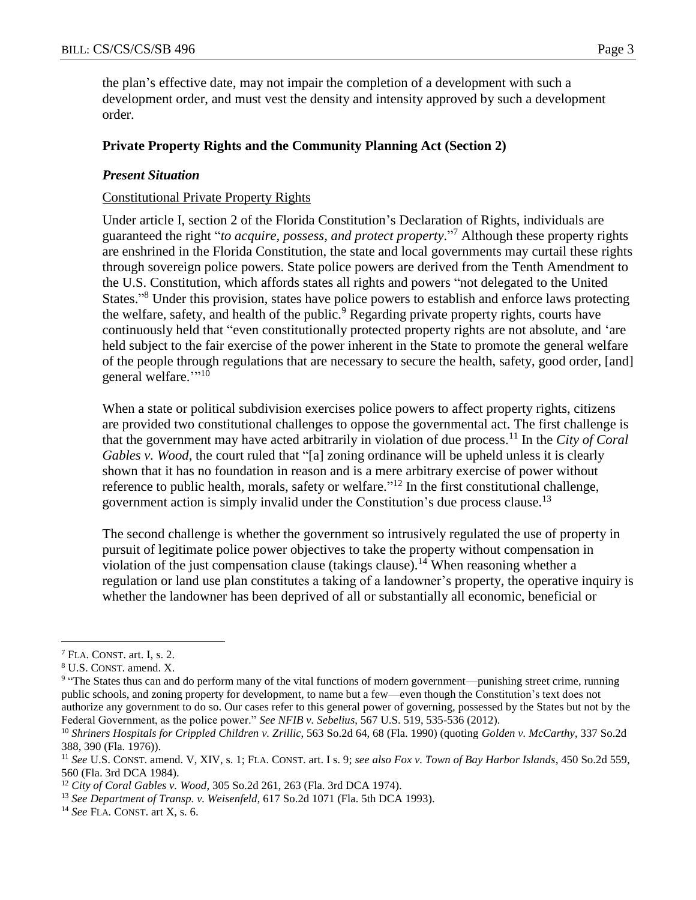the plan's effective date, may not impair the completion of a development with such a development order, and must vest the density and intensity approved by such a development order.

#### **Private Property Rights and the Community Planning Act (Section 2)**

### *Present Situation*

### Constitutional Private Property Rights

Under article I, section 2 of the Florida Constitution's Declaration of Rights, individuals are guaranteed the right "*to acquire, possess, and protect property*." <sup>7</sup> Although these property rights are enshrined in the Florida Constitution, the state and local governments may curtail these rights through sovereign police powers. State police powers are derived from the Tenth Amendment to the U.S. Constitution, which affords states all rights and powers "not delegated to the United States."<sup>8</sup> Under this provision, states have police powers to establish and enforce laws protecting the welfare, safety, and health of the public.<sup>9</sup> Regarding private property rights, courts have continuously held that "even constitutionally protected property rights are not absolute, and 'are held subject to the fair exercise of the power inherent in the State to promote the general welfare of the people through regulations that are necessary to secure the health, safety, good order, [and] general welfare.""<sup>10</sup>

When a state or political subdivision exercises police powers to affect property rights, citizens are provided two constitutional challenges to oppose the governmental act. The first challenge is that the government may have acted arbitrarily in violation of due process.<sup>11</sup> In the *City of Coral Gables v. Wood*, the court ruled that "[a] zoning ordinance will be upheld unless it is clearly shown that it has no foundation in reason and is a mere arbitrary exercise of power without reference to public health, morals, safety or welfare."<sup>12</sup> In the first constitutional challenge, government action is simply invalid under the Constitution's due process clause.<sup>13</sup>

The second challenge is whether the government so intrusively regulated the use of property in pursuit of legitimate police power objectives to take the property without compensation in violation of the just compensation clause (takings clause).<sup>14</sup> When reasoning whether a regulation or land use plan constitutes a taking of a landowner's property, the operative inquiry is whether the landowner has been deprived of all or substantially all economic, beneficial or

<sup>7</sup> FLA. CONST. art. I, s. 2.

<sup>8</sup> U.S. CONST. amend. X.

<sup>&</sup>lt;sup>9</sup> "The States thus can and do perform many of the vital functions of modern government—punishing street crime, running public schools, and zoning property for development, to name but a few—even though the Constitution's text does not authorize any government to do so. Our cases refer to this general power of governing, possessed by the States but not by the Federal Government, as the police power." *See NFIB v. Sebelius*, 567 U.S. 519, 535-536 (2012).

<sup>10</sup> *Shriners Hospitals for Crippled Children v. Zrillic*, 563 So.2d 64, 68 (Fla. 1990) (quoting *Golden v. McCarthy*, 337 So.2d 388, 390 (Fla. 1976)).

<sup>11</sup> *See* U.S. CONST. amend. V, XIV, s. 1; FLA. CONST. art. I s. 9; *see also Fox v. Town of Bay Harbor Islands*, 450 So.2d 559, 560 (Fla. 3rd DCA 1984).

<sup>12</sup> *City of Coral Gables v. Wood*, 305 So.2d 261, 263 (Fla. 3rd DCA 1974).

<sup>13</sup> *See Department of Transp. v. Weisenfeld*, 617 So.2d 1071 (Fla. 5th DCA 1993).

<sup>14</sup> *See* FLA. CONST. art X, s. 6.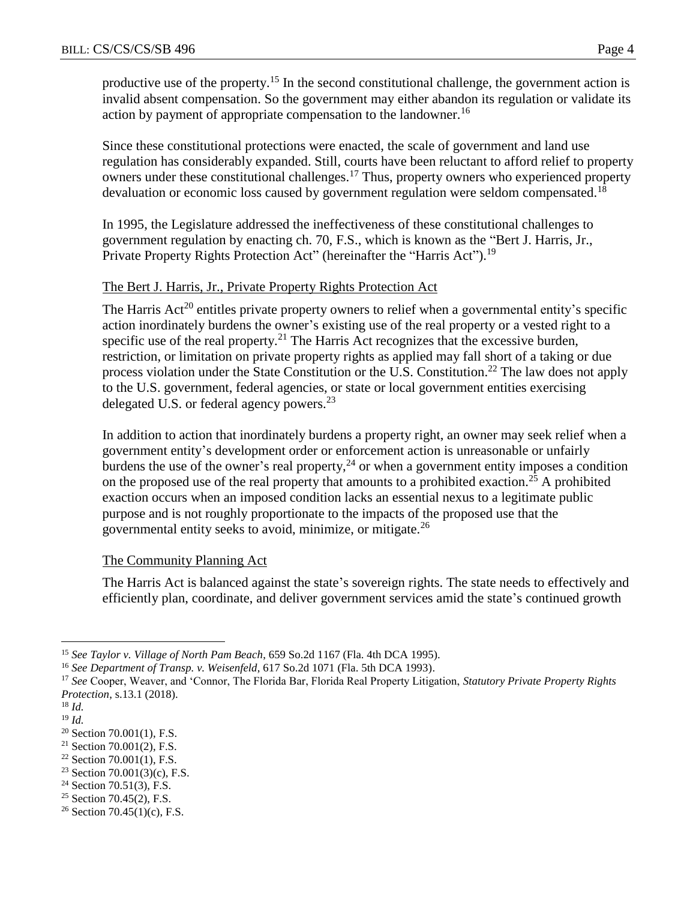productive use of the property.<sup>15</sup> In the second constitutional challenge, the government action is invalid absent compensation. So the government may either abandon its regulation or validate its action by payment of appropriate compensation to the landowner.<sup>16</sup>

Since these constitutional protections were enacted, the scale of government and land use regulation has considerably expanded. Still, courts have been reluctant to afford relief to property owners under these constitutional challenges.<sup>17</sup> Thus, property owners who experienced property devaluation or economic loss caused by government regulation were seldom compensated.<sup>18</sup>

In 1995, the Legislature addressed the ineffectiveness of these constitutional challenges to government regulation by enacting ch. 70, F.S., which is known as the "Bert J. Harris, Jr., Private Property Rights Protection Act" (hereinafter the "Harris Act").<sup>19</sup>

### The Bert J. Harris, Jr., Private Property Rights Protection Act

The Harris  $Act^{20}$  entitles private property owners to relief when a governmental entity's specific action inordinately burdens the owner's existing use of the real property or a vested right to a specific use of the real property.<sup>21</sup> The Harris Act recognizes that the excessive burden, restriction, or limitation on private property rights as applied may fall short of a taking or due process violation under the State Constitution or the U.S. Constitution.<sup>22</sup> The law does not apply to the U.S. government, federal agencies, or state or local government entities exercising delegated U.S. or federal agency powers.<sup>23</sup>

In addition to action that inordinately burdens a property right, an owner may seek relief when a government entity's development order or enforcement action is unreasonable or unfairly burdens the use of the owner's real property,  $24$  or when a government entity imposes a condition on the proposed use of the real property that amounts to a prohibited exaction.<sup>25</sup> A prohibited exaction occurs when an imposed condition lacks an essential nexus to a legitimate public purpose and is not roughly proportionate to the impacts of the proposed use that the governmental entity seeks to avoid, minimize, or mitigate. $^{26}$ 

### The Community Planning Act

The Harris Act is balanced against the state's sovereign rights. The state needs to effectively and efficiently plan, coordinate, and deliver government services amid the state's continued growth

 $\overline{a}$ 

<sup>25</sup> Section 70.45(2), F.S.

<sup>15</sup> *See Taylor v. Village of North Pam Beach*, 659 So.2d 1167 (Fla. 4th DCA 1995).

<sup>16</sup> *See Department of Transp. v. Weisenfeld*, 617 So.2d 1071 (Fla. 5th DCA 1993).

<sup>17</sup> *See* Cooper, Weaver, and 'Connor, The Florida Bar, Florida Real Property Litigation, *Statutory Private Property Rights Protection*, s.13.1 (2018).

<sup>18</sup> *Id.*

<sup>19</sup> *Id.*

<sup>20</sup> Section 70.001(1), F.S.

 $21$  Section 70.001(2), F.S.

 $22$  Section 70.001(1), F.S.

<sup>&</sup>lt;sup>23</sup> Section 70.001(3)(c), F.S.

 $24$  Section 70.51(3), F.S.

<sup>&</sup>lt;sup>26</sup> Section 70.45(1)(c), F.S.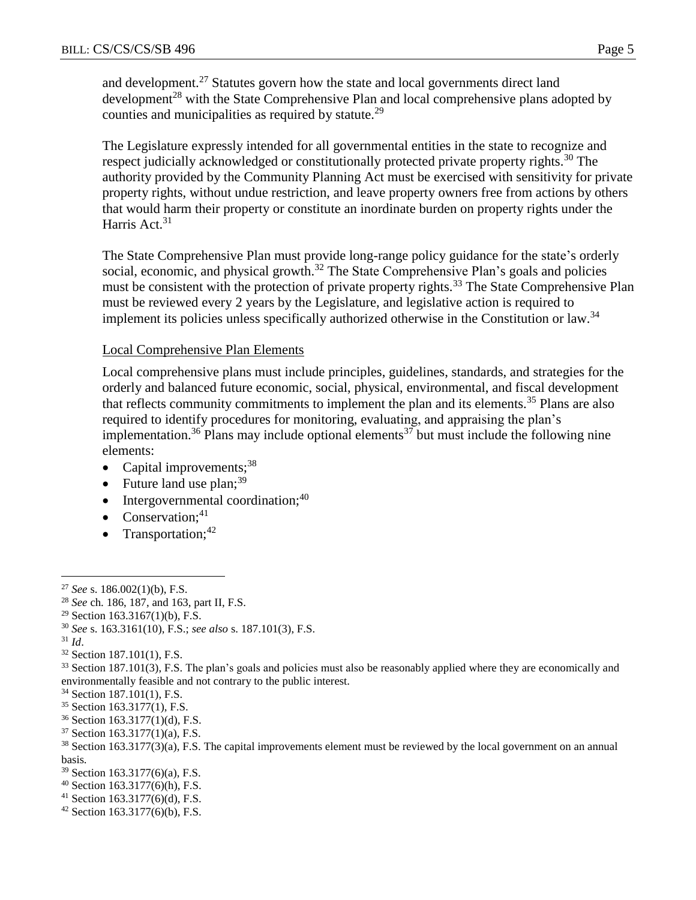and development.<sup>27</sup> Statutes govern how the state and local governments direct land development<sup>28</sup> with the State Comprehensive Plan and local comprehensive plans adopted by counties and municipalities as required by statute.<sup>29</sup>

The Legislature expressly intended for all governmental entities in the state to recognize and respect judicially acknowledged or constitutionally protected private property rights.<sup>30</sup> The authority provided by the Community Planning Act must be exercised with sensitivity for private property rights, without undue restriction, and leave property owners free from actions by others that would harm their property or constitute an inordinate burden on property rights under the Harris Act.<sup>31</sup>

The State Comprehensive Plan must provide long-range policy guidance for the state's orderly social, economic, and physical growth.<sup>32</sup> The State Comprehensive Plan's goals and policies must be consistent with the protection of private property rights.<sup>33</sup> The State Comprehensive Plan must be reviewed every 2 years by the Legislature, and legislative action is required to implement its policies unless specifically authorized otherwise in the Constitution or law.<sup>34</sup>

#### Local Comprehensive Plan Elements

Local comprehensive plans must include principles, guidelines, standards, and strategies for the orderly and balanced future economic, social, physical, environmental, and fiscal development that reflects community commitments to implement the plan and its elements.<sup>35</sup> Plans are also required to identify procedures for monitoring, evaluating, and appraising the plan's implementation.<sup>36</sup> Plans may include optional elements<sup>37</sup> but must include the following nine elements:

- Capital improvements; $38$
- Future land use  $plan;^{39}$
- $\bullet$  Intergovernmental coordination;<sup>40</sup>
- Conservation; $41$
- Transportation; $42$

<sup>31</sup> *Id*.

 $\overline{a}$ 

<sup>32</sup> Section 187.101(1), F.S.

- <sup>34</sup> Section 187.101(1), F.S.
- <sup>35</sup> Section 163.3177(1), F.S.
- <sup>36</sup> Section 163.3177(1)(d), F.S.
- <sup>37</sup> Section 163.3177(1)(a), F.S.

- <sup>39</sup> Section 163.3177(6)(a), F.S.
- $40$  Section 163.3177(6)(h), F.S.
- <sup>41</sup> Section 163.3177(6)(d), F.S.
- $42$  Section 163.3177(6)(b), F.S.

<sup>27</sup> *See* s. 186.002(1)(b), F.S.

<sup>28</sup> *See* ch. 186, 187, and 163, part II, F.S.

<sup>&</sup>lt;sup>29</sup> Section 163.3167(1)(b), F.S.

<sup>30</sup> *See* s. 163.3161(10), F.S.; *see also* s. 187.101(3), F.S.

<sup>&</sup>lt;sup>33</sup> Section 187.101(3), F.S. The plan's goals and policies must also be reasonably applied where they are economically and environmentally feasible and not contrary to the public interest.

<sup>38</sup> Section 163.3177(3)(a), F.S. The capital improvements element must be reviewed by the local government on an annual basis.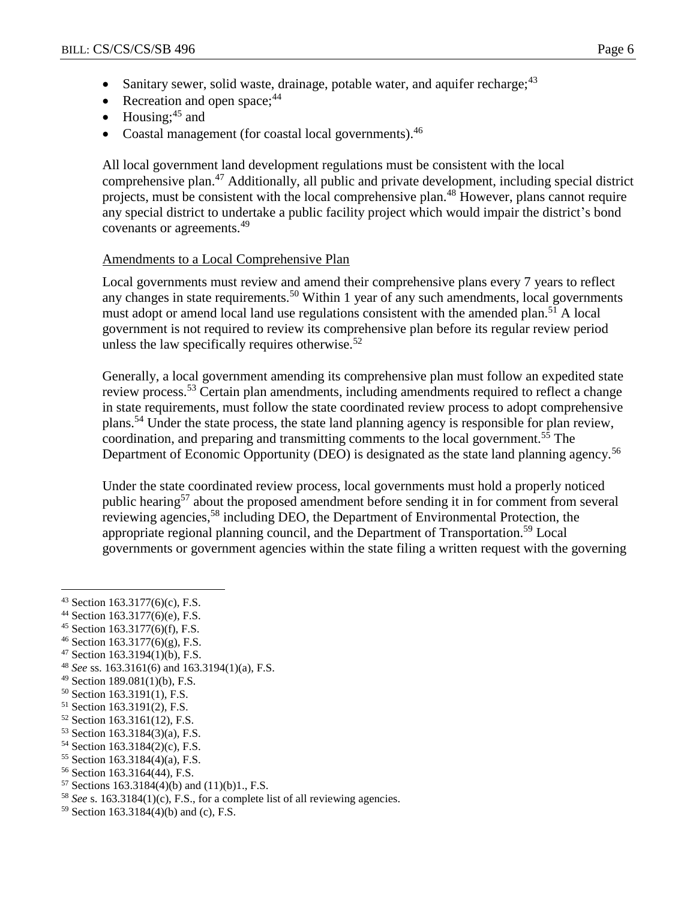- Sanitary sewer, solid waste, drainage, potable water, and aquifer recharge; $43$
- Recreation and open space: $44$
- $\bullet$  Housing;<sup>45</sup> and
- Coastal management (for coastal local governments).<sup>46</sup>

All local government land development regulations must be consistent with the local comprehensive plan.<sup>47</sup> Additionally, all public and private development, including special district projects, must be consistent with the local comprehensive plan.<sup>48</sup> However, plans cannot require any special district to undertake a public facility project which would impair the district's bond covenants or agreements.<sup>49</sup>

### Amendments to a Local Comprehensive Plan

Local governments must review and amend their comprehensive plans every 7 years to reflect any changes in state requirements.<sup>50</sup> Within 1 year of any such amendments, local governments must adopt or amend local land use regulations consistent with the amended plan.<sup>51</sup> A local government is not required to review its comprehensive plan before its regular review period unless the law specifically requires otherwise. $52$ 

Generally, a local government amending its comprehensive plan must follow an expedited state review process.<sup>53</sup> Certain plan amendments, including amendments required to reflect a change in state requirements, must follow the state coordinated review process to adopt comprehensive plans.<sup>54</sup> Under the state process, the state land planning agency is responsible for plan review, coordination, and preparing and transmitting comments to the local government.<sup>55</sup> The Department of Economic Opportunity (DEO) is designated as the state land planning agency.<sup>56</sup>

Under the state coordinated review process, local governments must hold a properly noticed public hearing<sup>57</sup> about the proposed amendment before sending it in for comment from several reviewing agencies,<sup>58</sup> including DEO, the Department of Environmental Protection, the appropriate regional planning council, and the Department of Transportation.<sup>59</sup> Local governments or government agencies within the state filing a written request with the governing

- <sup>44</sup> Section 163.3177(6)(e), F.S.
- <sup>45</sup> Section 163.3177(6)(f), F.S.
- $46$  Section 163.3177(6)(g), F.S.
- <sup>47</sup> Section 163.3194(1)(b), F.S.
- <sup>48</sup> *See* ss. 163.3161(6) and 163.3194(1)(a), F.S.
- <sup>49</sup> Section 189.081(1)(b), F.S.
- <sup>50</sup> Section 163.3191(1), F.S.
- <sup>51</sup> Section 163.3191(2), F.S.
- <sup>52</sup> Section 163.3161(12), F.S.
- <sup>53</sup> Section 163.3184(3)(a), F.S.
- <sup>54</sup> Section 163.3184(2)(c), F.S.
- <sup>55</sup> Section 163.3184(4)(a), F.S.
- <sup>56</sup> Section 163.3164(44), F.S.
- $57$  Sections 163.3184(4)(b) and (11)(b)1, F.S.
- <sup>58</sup> *See* s. 163.3184(1)(c), F.S., for a complete list of all reviewing agencies.
- <sup>59</sup> Section 163.3184(4)(b) and (c), F.S.

<sup>43</sup> Section 163.3177(6)(c), F.S.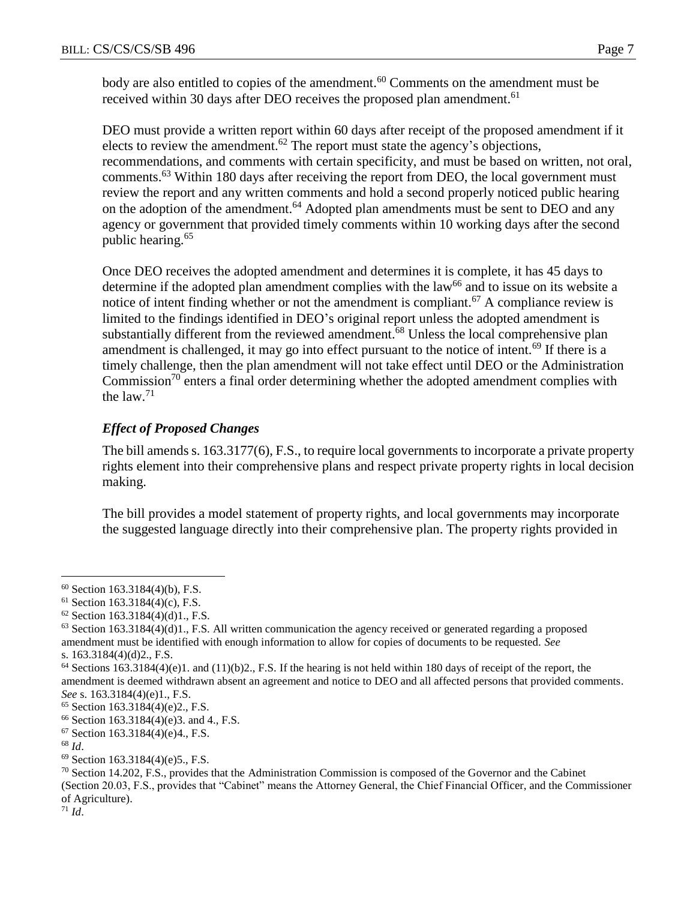body are also entitled to copies of the amendment.<sup>60</sup> Comments on the amendment must be received within 30 days after DEO receives the proposed plan amendment.<sup>61</sup>

DEO must provide a written report within 60 days after receipt of the proposed amendment if it elects to review the amendment.<sup>62</sup> The report must state the agency's objections, recommendations, and comments with certain specificity, and must be based on written, not oral, comments.<sup>63</sup> Within 180 days after receiving the report from DEO, the local government must review the report and any written comments and hold a second properly noticed public hearing on the adoption of the amendment.<sup>64</sup> Adopted plan amendments must be sent to DEO and any agency or government that provided timely comments within 10 working days after the second public hearing.<sup>65</sup>

Once DEO receives the adopted amendment and determines it is complete, it has 45 days to determine if the adopted plan amendment complies with the  $law<sup>66</sup>$  and to issue on its website a notice of intent finding whether or not the amendment is compliant.<sup>67</sup> A compliance review is limited to the findings identified in DEO's original report unless the adopted amendment is substantially different from the reviewed amendment.<sup>68</sup> Unless the local comprehensive plan amendment is challenged, it may go into effect pursuant to the notice of intent.<sup>69</sup> If there is a timely challenge, then the plan amendment will not take effect until DEO or the Administration Commission<sup>70</sup> enters a final order determining whether the adopted amendment complies with the law. $71$ 

### *Effect of Proposed Changes*

The bill amends s. 163.3177(6), F.S., to require local governments to incorporate a private property rights element into their comprehensive plans and respect private property rights in local decision making.

The bill provides a model statement of property rights, and local governments may incorporate the suggested language directly into their comprehensive plan. The property rights provided in

 $\overline{a}$ 

 $71$  *Id.* 

 $60$  Section 163.3184(4)(b), F.S.

 $61$  Section 163.3184(4)(c), F.S.

 $62$  Section 163.3184(4)(d)1., F.S.

 $63$  Section 163.3184(4)(d)1., F.S. All written communication the agency received or generated regarding a proposed amendment must be identified with enough information to allow for copies of documents to be requested. *See* s. 163.3184(4)(d)2., F.S.

 $64$  Sections 163.3184(4)(e)1. and (11)(b)2., F.S. If the hearing is not held within 180 days of receipt of the report, the amendment is deemed withdrawn absent an agreement and notice to DEO and all affected persons that provided comments. *See* s. 163.3184(4)(e)1., F.S.

<sup>65</sup> Section 163.3184(4)(e)2., F.S.

<sup>66</sup> Section 163.3184(4)(e)3. and 4., F.S.

<sup>67</sup> Section 163.3184(4)(e)4., F.S.

<sup>68</sup> *Id*.

<sup>69</sup> Section 163.3184(4)(e)5., F.S.

 $70$  Section 14.202, F.S., provides that the Administration Commission is composed of the Governor and the Cabinet (Section 20.03, F.S., provides that "Cabinet" means the Attorney General, the Chief Financial Officer, and the Commissioner of Agriculture).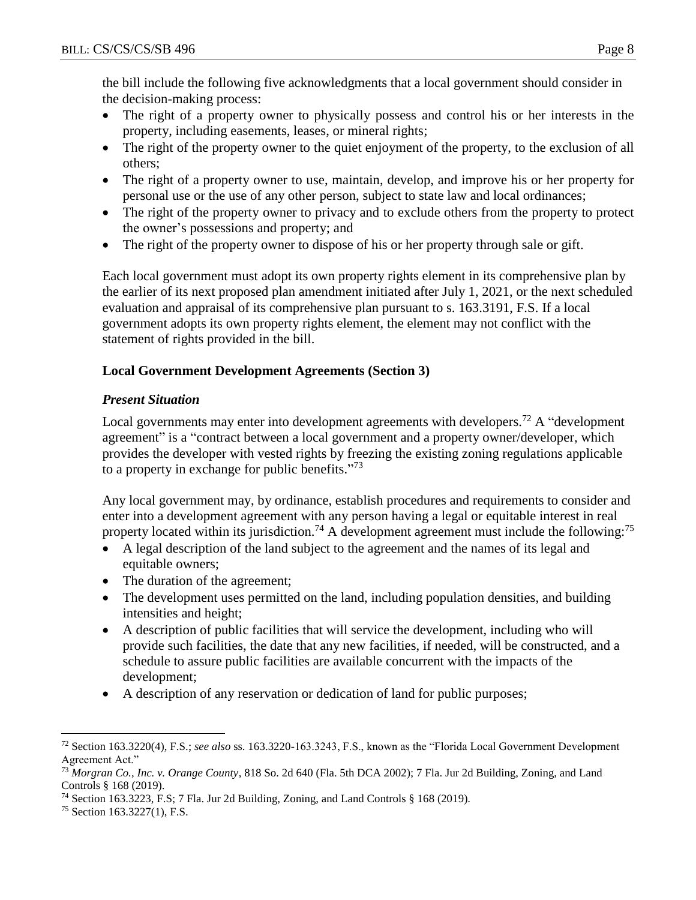the bill include the following five acknowledgments that a local government should consider in the decision-making process:

- The right of a property owner to physically possess and control his or her interests in the property, including easements, leases, or mineral rights;
- The right of the property owner to the quiet enjoyment of the property, to the exclusion of all others;
- The right of a property owner to use, maintain, develop, and improve his or her property for personal use or the use of any other person, subject to state law and local ordinances;
- The right of the property owner to privacy and to exclude others from the property to protect the owner's possessions and property; and
- The right of the property owner to dispose of his or her property through sale or gift.

Each local government must adopt its own property rights element in its comprehensive plan by the earlier of its next proposed plan amendment initiated after July 1, 2021, or the next scheduled evaluation and appraisal of its comprehensive plan pursuant to s. 163.3191, F.S. If a local government adopts its own property rights element, the element may not conflict with the statement of rights provided in the bill.

# **Local Government Development Agreements (Section 3)**

# *Present Situation*

Local governments may enter into development agreements with developers.<sup>72</sup> A "development agreement" is a "contract between a local government and a property owner/developer, which provides the developer with vested rights by freezing the existing zoning regulations applicable to a property in exchange for public benefits."<sup>73</sup>

Any local government may, by ordinance, establish procedures and requirements to consider and enter into a development agreement with any person having a legal or equitable interest in real property located within its jurisdiction.<sup>74</sup> A development agreement must include the following:<sup>75</sup>

- A legal description of the land subject to the agreement and the names of its legal and equitable owners;
- The duration of the agreement;
- The development uses permitted on the land, including population densities, and building intensities and height;
- A description of public facilities that will service the development, including who will provide such facilities, the date that any new facilities, if needed, will be constructed, and a schedule to assure public facilities are available concurrent with the impacts of the development;
- A description of any reservation or dedication of land for public purposes;

 $\overline{a}$ <sup>72</sup> Section 163.3220(4), F.S.; *see also* ss. 163.3220-163.3243, F.S., known as the "Florida Local Government Development Agreement Act."

<sup>73</sup> *Morgran Co., Inc. v. Orange County*, 818 So. 2d 640 (Fla. 5th DCA 2002); 7 Fla. Jur 2d Building, Zoning, and Land Controls § 168 (2019).

<sup>74</sup> Section 163.3223, F.S; 7 Fla. Jur 2d Building, Zoning, and Land Controls § 168 (2019).

<sup>75</sup> Section 163.3227(1), F.S.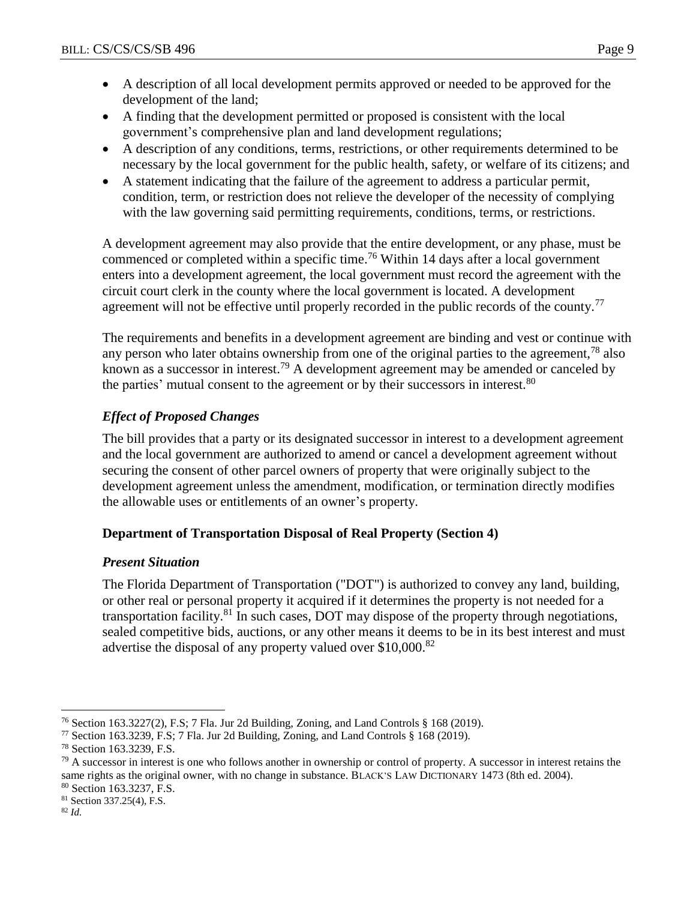- A description of all local development permits approved or needed to be approved for the development of the land;
- A finding that the development permitted or proposed is consistent with the local government's comprehensive plan and land development regulations;
- A description of any conditions, terms, restrictions, or other requirements determined to be necessary by the local government for the public health, safety, or welfare of its citizens; and
- A statement indicating that the failure of the agreement to address a particular permit, condition, term, or restriction does not relieve the developer of the necessity of complying with the law governing said permitting requirements, conditions, terms, or restrictions.

A development agreement may also provide that the entire development, or any phase, must be commenced or completed within a specific time.<sup>76</sup> Within 14 days after a local government enters into a development agreement, the local government must record the agreement with the circuit court clerk in the county where the local government is located. A development agreement will not be effective until properly recorded in the public records of the county.<sup>77</sup>

The requirements and benefits in a development agreement are binding and vest or continue with any person who later obtains ownership from one of the original parties to the agreement,<sup>78</sup> also known as a successor in interest.<sup>79</sup> A development agreement may be amended or canceled by the parties' mutual consent to the agreement or by their successors in interest.<sup>80</sup>

# *Effect of Proposed Changes*

The bill provides that a party or its designated successor in interest to a development agreement and the local government are authorized to amend or cancel a development agreement without securing the consent of other parcel owners of property that were originally subject to the development agreement unless the amendment, modification, or termination directly modifies the allowable uses or entitlements of an owner's property.

# **Department of Transportation Disposal of Real Property (Section 4)**

### *Present Situation*

The Florida Department of Transportation ("DOT") is authorized to convey any land, building, or other real or personal property it acquired if it determines the property is not needed for a transportation facility.<sup>81</sup> In such cases, DOT may dispose of the property through negotiations, sealed competitive bids, auctions, or any other means it deems to be in its best interest and must advertise the disposal of any property valued over \$10,000.<sup>82</sup>

<sup>76</sup> Section 163.3227(2), F.S; 7 Fla. Jur 2d Building, Zoning, and Land Controls § 168 (2019).

<sup>77</sup> Section 163.3239, F.S; 7 Fla. Jur 2d Building, Zoning, and Land Controls § 168 (2019).

<sup>78</sup> Section 163.3239, F.S.

<sup>&</sup>lt;sup>79</sup> A successor in interest is one who follows another in ownership or control of property. A successor in interest retains the same rights as the original owner, with no change in substance. BLACK'S LAW DICTIONARY 1473 (8th ed. 2004). <sup>80</sup> Section 163.3237, F.S.

<sup>81</sup> Section 337.25(4), F.S.

<sup>82</sup> *Id.*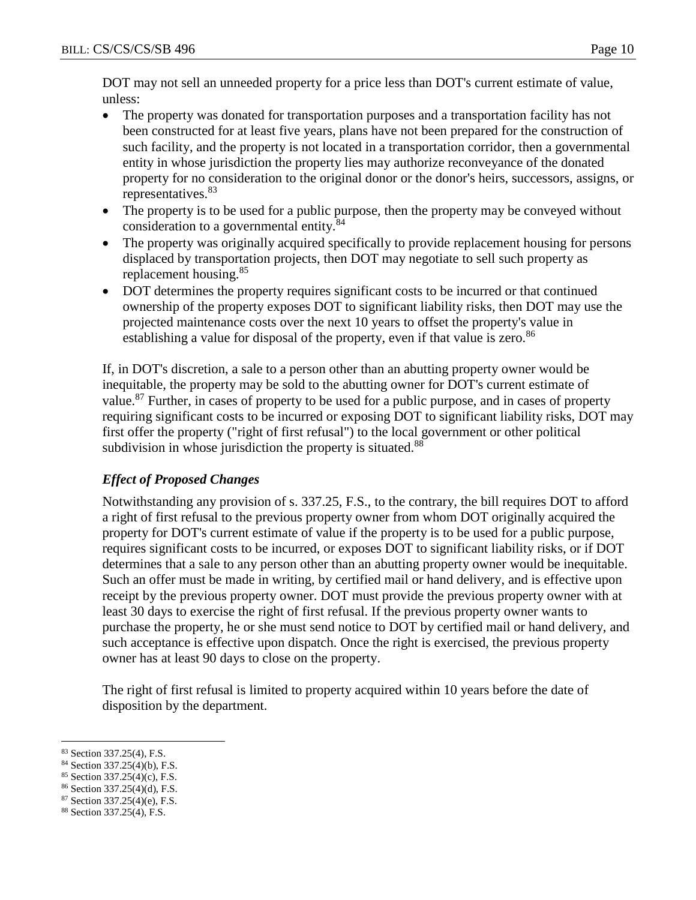DOT may not sell an unneeded property for a price less than DOT's current estimate of value, unless:

- The property was donated for transportation purposes and a transportation facility has not been constructed for at least five years, plans have not been prepared for the construction of such facility, and the property is not located in a transportation corridor, then a governmental entity in whose jurisdiction the property lies may authorize reconveyance of the donated property for no consideration to the original donor or the donor's heirs, successors, assigns, or representatives.<sup>83</sup>
- The property is to be used for a public purpose, then the property may be conveyed without consideration to a governmental entity.<sup>84</sup>
- The property was originally acquired specifically to provide replacement housing for persons displaced by transportation projects, then DOT may negotiate to sell such property as replacement housing.<sup>85</sup>
- DOT determines the property requires significant costs to be incurred or that continued ownership of the property exposes DOT to significant liability risks, then DOT may use the projected maintenance costs over the next 10 years to offset the property's value in establishing a value for disposal of the property, even if that value is zero.<sup>86</sup>

If, in DOT's discretion, a sale to a person other than an abutting property owner would be inequitable, the property may be sold to the abutting owner for DOT's current estimate of value.<sup>87</sup> Further, in cases of property to be used for a public purpose, and in cases of property requiring significant costs to be incurred or exposing DOT to significant liability risks, DOT may first offer the property ("right of first refusal") to the local government or other political subdivision in whose jurisdiction the property is situated.<sup>88</sup>

# *Effect of Proposed Changes*

Notwithstanding any provision of s. 337.25, F.S., to the contrary, the bill requires DOT to afford a right of first refusal to the previous property owner from whom DOT originally acquired the property for DOT's current estimate of value if the property is to be used for a public purpose, requires significant costs to be incurred, or exposes DOT to significant liability risks, or if DOT determines that a sale to any person other than an abutting property owner would be inequitable. Such an offer must be made in writing, by certified mail or hand delivery, and is effective upon receipt by the previous property owner. DOT must provide the previous property owner with at least 30 days to exercise the right of first refusal. If the previous property owner wants to purchase the property, he or she must send notice to DOT by certified mail or hand delivery, and such acceptance is effective upon dispatch. Once the right is exercised, the previous property owner has at least 90 days to close on the property.

The right of first refusal is limited to property acquired within 10 years before the date of disposition by the department.

 $\overline{a}$ <sup>83</sup> Section 337.25(4), F.S.

<sup>84</sup> Section 337.25(4)(b), F.S.

<sup>85</sup> Section 337.25(4)(c), F.S.

<sup>86</sup> Section 337.25(4)(d), F.S.

<sup>87</sup> Section 337.25(4)(e), F.S.

<sup>88</sup> Section 337.25(4), F.S.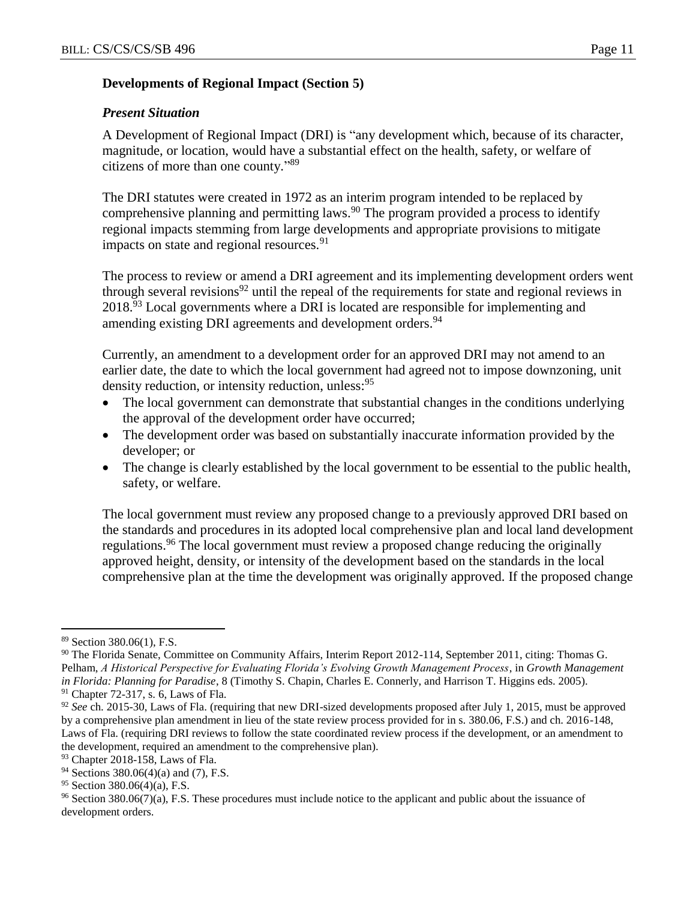### **Developments of Regional Impact (Section 5)**

### *Present Situation*

A Development of Regional Impact (DRI) is "any development which, because of its character, magnitude, or location, would have a substantial effect on the health, safety, or welfare of citizens of more than one county." 89

The DRI statutes were created in 1972 as an interim program intended to be replaced by comprehensive planning and permitting laws.<sup>90</sup> The program provided a process to identify regional impacts stemming from large developments and appropriate provisions to mitigate impacts on state and regional resources.  $91$ 

The process to review or amend a DRI agreement and its implementing development orders went through several revisions<sup>92</sup> until the repeal of the requirements for state and regional reviews in 2018.<sup>93</sup> Local governments where a DRI is located are responsible for implementing and amending existing DRI agreements and development orders.<sup>94</sup>

Currently, an amendment to a development order for an approved DRI may not amend to an earlier date, the date to which the local government had agreed not to impose downzoning, unit density reduction, or intensity reduction, unless:<sup>95</sup>

- The local government can demonstrate that substantial changes in the conditions underlying the approval of the development order have occurred;
- The development order was based on substantially inaccurate information provided by the developer; or
- The change is clearly established by the local government to be essential to the public health, safety, or welfare.

The local government must review any proposed change to a previously approved DRI based on the standards and procedures in its adopted local comprehensive plan and local land development regulations.<sup>96</sup> The local government must review a proposed change reducing the originally approved height, density, or intensity of the development based on the standards in the local comprehensive plan at the time the development was originally approved. If the proposed change

<sup>89</sup> Section 380.06(1), F.S.

<sup>90</sup> The Florida Senate, Committee on Community Affairs, Interim Report 2012-114, September 2011, citing: Thomas G. Pelham, *A Historical Perspective for Evaluating Florida's Evolving Growth Management Process*, in *Growth Management in Florida: Planning for Paradise*, 8 (Timothy S. Chapin, Charles E. Connerly, and Harrison T. Higgins eds. 2005). <sup>91</sup> Chapter 72-317, s. 6, Laws of Fla.

<sup>92</sup> *See* ch. 2015-30, Laws of Fla. (requiring that new DRI-sized developments proposed after July 1, 2015, must be approved by a comprehensive plan amendment in lieu of the state review process provided for in s. 380.06, F.S.) and ch. 2016-148, Laws of Fla. (requiring DRI reviews to follow the state coordinated review process if the development, or an amendment to the development, required an amendment to the comprehensive plan).

<sup>93</sup> Chapter 2018-158, Laws of Fla.

<sup>94</sup> Sections 380.06(4)(a) and (7), F.S.

 $95$  Section 380.06(4)(a), F.S.

<sup>96</sup> Section 380.06(7)(a), F.S. These procedures must include notice to the applicant and public about the issuance of development orders.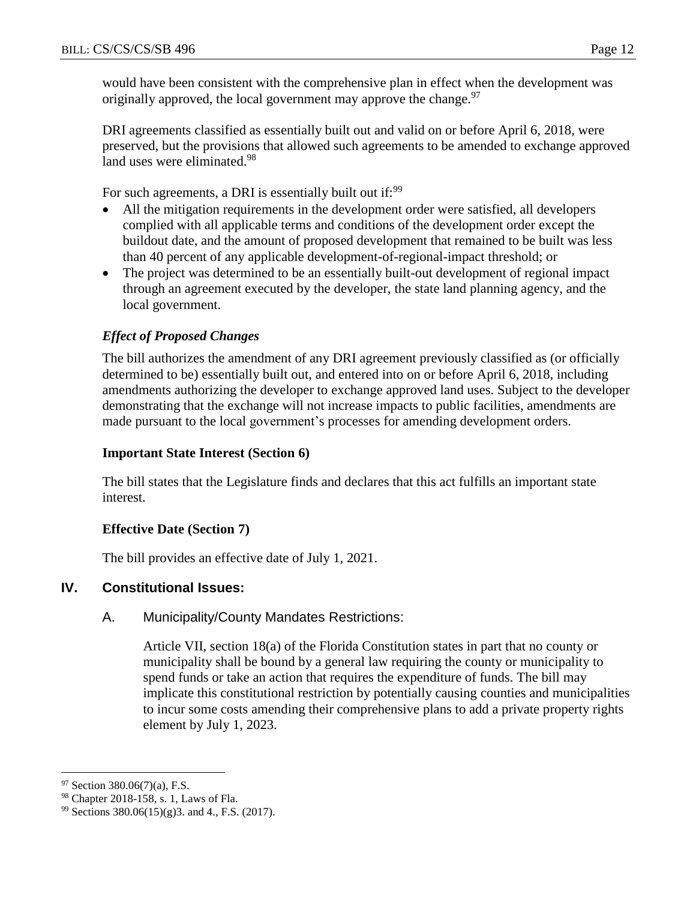would have been consistent with the comprehensive plan in effect when the development was originally approved, the local government may approve the change.<sup>97</sup>

DRI agreements classified as essentially built out and valid on or before April 6, 2018, were preserved, but the provisions that allowed such agreements to be amended to exchange approved land uses were eliminated.<sup>98</sup>

For such agreements, a DRI is essentially built out if:<sup>99</sup>

- All the mitigation requirements in the development order were satisfied, all developers complied with all applicable terms and conditions of the development order except the buildout date, and the amount of proposed development that remained to be built was less than 40 percent of any applicable development-of-regional-impact threshold; or
- The project was determined to be an essentially built-out development of regional impact through an agreement executed by the developer, the state land planning agency, and the local government.

# *Effect of Proposed Changes*

The bill authorizes the amendment of any DRI agreement previously classified as (or officially determined to be) essentially built out, and entered into on or before April 6, 2018, including amendments authorizing the developer to exchange approved land uses. Subject to the developer demonstrating that the exchange will not increase impacts to public facilities, amendments are made pursuant to the local government's processes for amending development orders.

### **Important State Interest (Section 6)**

The bill states that the Legislature finds and declares that this act fulfills an important state interest.

### **Effective Date (Section 7)**

The bill provides an effective date of July 1, 2021.

# **IV. Constitutional Issues:**

### A. Municipality/County Mandates Restrictions:

Article VII, section 18(a) of the Florida Constitution states in part that no county or municipality shall be bound by a general law requiring the county or municipality to spend funds or take an action that requires the expenditure of funds. The bill may implicate this constitutional restriction by potentially causing counties and municipalities to incur some costs amending their comprehensive plans to add a private property rights element by July 1, 2023.

 $97$  Section 380.06(7)(a), F.S.

<sup>98</sup> Chapter 2018-158, s. 1, Laws of Fla.

<sup>99</sup> Sections 380.06(15)(g)3. and 4., F.S. (2017).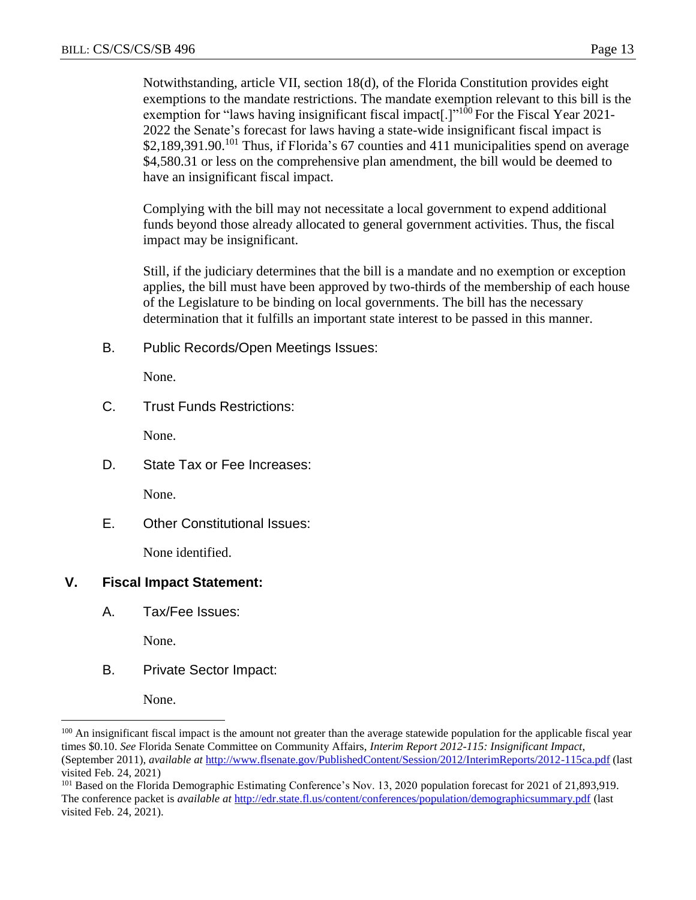Notwithstanding, article VII, section 18(d), of the Florida Constitution provides eight exemptions to the mandate restrictions. The mandate exemption relevant to this bill is the exemption for "laws having insignificant fiscal impact.] $1^{100}$  For the Fiscal Year 2021-2022 the Senate's forecast for laws having a state-wide insignificant fiscal impact is \$2,189,391.90.<sup>101</sup> Thus, if Florida's 67 counties and 411 municipalities spend on average \$4,580.31 or less on the comprehensive plan amendment, the bill would be deemed to have an insignificant fiscal impact.

Complying with the bill may not necessitate a local government to expend additional funds beyond those already allocated to general government activities. Thus, the fiscal impact may be insignificant.

Still, if the judiciary determines that the bill is a mandate and no exemption or exception applies, the bill must have been approved by two-thirds of the membership of each house of the Legislature to be binding on local governments. The bill has the necessary determination that it fulfills an important state interest to be passed in this manner.

B. Public Records/Open Meetings Issues:

None.

C. Trust Funds Restrictions:

None.

D. State Tax or Fee Increases:

None.

E. Other Constitutional Issues:

None identified.

### **V. Fiscal Impact Statement:**

A. Tax/Fee Issues:

None.

B. Private Sector Impact:

None.

<sup>&</sup>lt;sup>100</sup> An insignificant fiscal impact is the amount not greater than the average statewide population for the applicable fiscal year times \$0.10. *See* Florida Senate Committee on Community Affairs, *Interim Report 2012-115: Insignificant Impact*, (September 2011), *available at* <http://www.flsenate.gov/PublishedContent/Session/2012/InterimReports/2012-115ca.pdf> (last visited Feb. 24, 2021)

<sup>101</sup> Based on the Florida Demographic Estimating Conference's Nov. 13, 2020 population forecast for 2021 of 21,893,919. The conference packet is *available at* <http://edr.state.fl.us/content/conferences/population/demographicsummary.pdf> (last visited Feb. 24, 2021).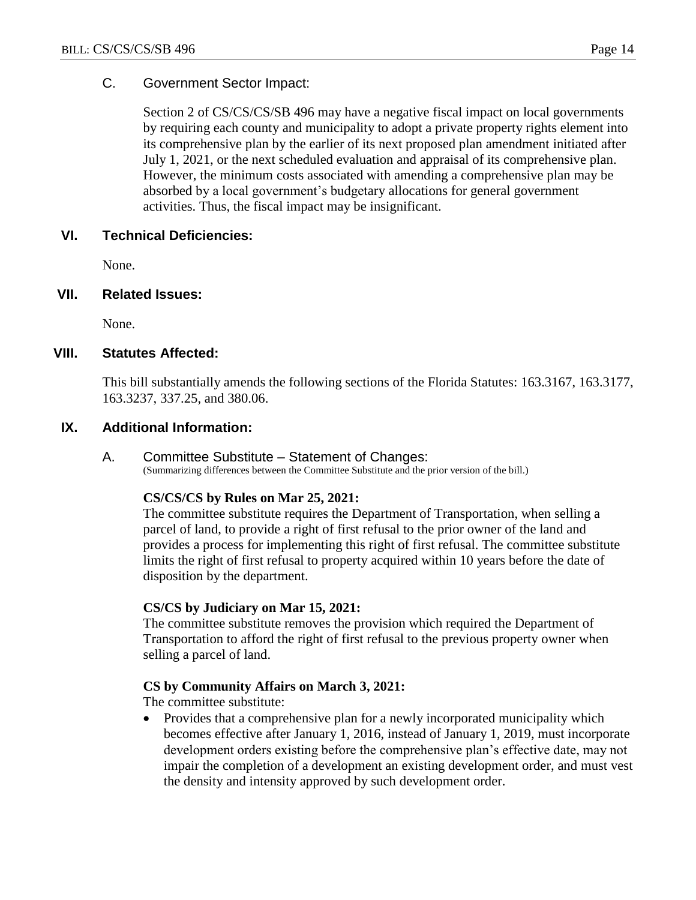### C. Government Sector Impact:

Section 2 of CS/CS/CS/SB 496 may have a negative fiscal impact on local governments by requiring each county and municipality to adopt a private property rights element into its comprehensive plan by the earlier of its next proposed plan amendment initiated after July 1, 2021, or the next scheduled evaluation and appraisal of its comprehensive plan. However, the minimum costs associated with amending a comprehensive plan may be absorbed by a local government's budgetary allocations for general government activities. Thus, the fiscal impact may be insignificant.

### **VI. Technical Deficiencies:**

None.

### **VII. Related Issues:**

None.

### **VIII. Statutes Affected:**

This bill substantially amends the following sections of the Florida Statutes: 163.3167, 163.3177, 163.3237, 337.25, and 380.06.

### **IX. Additional Information:**

#### A. Committee Substitute – Statement of Changes:

(Summarizing differences between the Committee Substitute and the prior version of the bill.)

#### **CS/CS/CS by Rules on Mar 25, 2021:**

The committee substitute requires the Department of Transportation, when selling a parcel of land, to provide a right of first refusal to the prior owner of the land and provides a process for implementing this right of first refusal. The committee substitute limits the right of first refusal to property acquired within 10 years before the date of disposition by the department.

#### **CS/CS by Judiciary on Mar 15, 2021:**

The committee substitute removes the provision which required the Department of Transportation to afford the right of first refusal to the previous property owner when selling a parcel of land.

#### **CS by Community Affairs on March 3, 2021:**

The committee substitute:

• Provides that a comprehensive plan for a newly incorporated municipality which becomes effective after January 1, 2016, instead of January 1, 2019, must incorporate development orders existing before the comprehensive plan's effective date, may not impair the completion of a development an existing development order, and must vest the density and intensity approved by such development order.